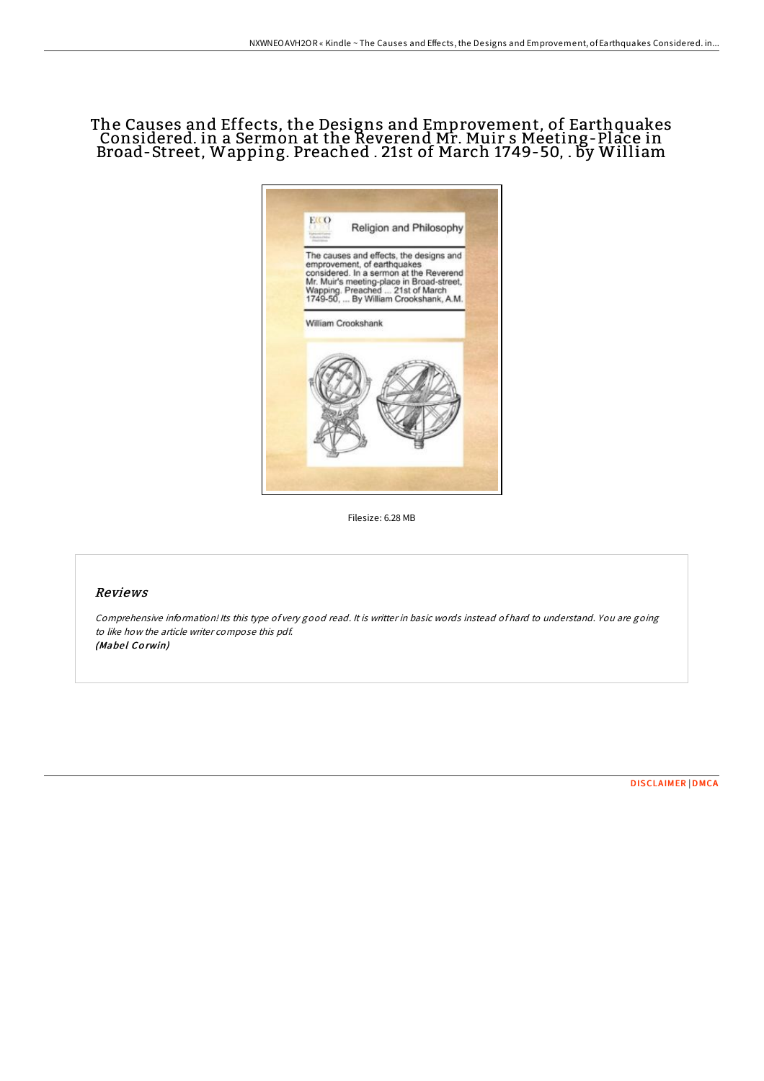## The Causes and Effects, the Designs and Emprovement, of Earthquakes Considered. in a Sermon at the Reverend Mr. Muir s Meeting-Place in Broad-Street, Wapping. Preached . 21st of March 1749-50, . by William



Filesize: 6.28 MB

## Reviews

Comprehensive information! Its this type of very good read. It is writter in basic words instead of hard to understand. You are going to like how the article writer compose this pdf. (Mabel Corwin)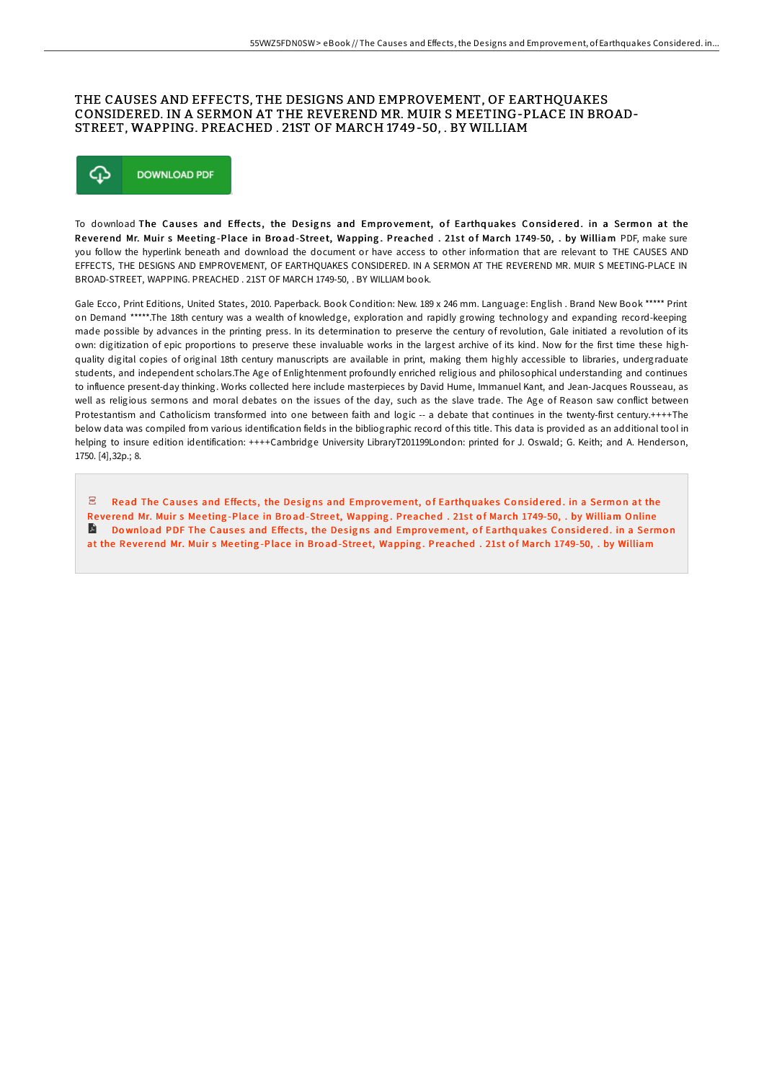## THE CAUSES AND EFFECTS, THE DESIGNS AND EMPROVEMENT, OF EARTHQUAKES CONSIDERED. IN A SERMON AT THE REVEREND MR. MUIR S MEETING-PLACE IN BROAD-STREET, WAPPING. PREACHED . 21ST OF MARCH 1749-50, . BY WILLIAM



To download The Causes and Effects, the Designs and Emprovement, of Earthquakes Considered. in a Sermon at the Reverend Mr. Muir s Meeting-Place in Broad-Street, Wapping. Preached . 21st of March 1749-50, . by William PDF, make sure you follow the hyperlink beneath and download the document or have access to other information that are relevant to THE CAUSES AND EFFECTS, THE DESIGNS AND EMPROVEMENT, OF EARTHQUAKES CONSIDERED. IN A SERMON AT THE REVEREND MR. MUIR S MEETING-PLACE IN BROAD-STREET, WAPPING. PREACHED . 21ST OF MARCH 1749-50, . BY WILLIAM book.

Gale Ecco, Print Editions, United States, 2010. Paperback. Book Condition: New. 189 x 246 mm. Language: English . Brand New Book \*\*\*\*\* Print on Demand \*\*\*\*\*.The 18th century was a wealth of knowledge, exploration and rapidly growing technology and expanding record-keeping made possible by advances in the printing press. In its determination to preserve the century of revolution, Gale initiated a revolution of its own: digitization of epic proportions to preserve these invaluable works in the largest archive of its kind. Now for the first time these highquality digital copies of original 18th century manuscripts are available in print, making them highly accessible to libraries, undergraduate students, and independent scholars.The Age of Enlightenment profoundly enriched religious and philosophical understanding and continues to influence present-day thinking. Works collected here include masterpieces by David Hume, Immanuel Kant, and Jean-Jacques Rousseau, as well as religious sermons and moral debates on the issues of the day, such as the slave trade. The Age of Reason saw conflict between Protestantism and Catholicism transformed into one between faith and logic -- a debate that continues in the twenty-first century.++++The below data was compiled from various identification fields in the bibliographic record of this title. This data is provided as an additional tool in helping to insure edition identification: ++++Cambridge University LibraryT201199London: printed for J. Oswald; G. Keith; and A. Henderson, 1750. [4],32p.; 8.

 $\overline{\mathbf{P}^{\text{RF}}}$ Read The Causes and Effects, the Designs and Emprovement, of Earthquakes Considered. in a Sermon at the Reverend Mr. Muir s Meeting-Place in Broad-Street, Wapping. [Preached](http://almighty24.tech/the-causes-and-effects-the-designs-and-emproveme.html) . 21st of March 1749-50, . by William Online  $\blacksquare$  Download PDF The Causes and Effects, the Designs and Emprovement, of Earthquakes Considered. in a Sermon at the Reverend Mr. Muir s Meeting-Place in Broad-Street, Wapping. [Preached](http://almighty24.tech/the-causes-and-effects-the-designs-and-emproveme.html) . 21st of March 1749-50, . by William